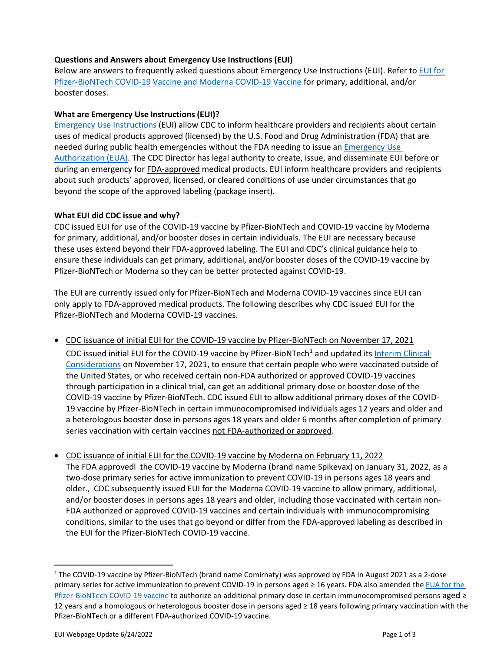#### **Questions and Answers about Emergency Use Instructions (EUI)**

Below are answers to frequently asked questions about Emergency Use Instructions (EUI). Refer to [EUI for](https://www.cdc.gov/vaccines/covid-19/eui/index.html)  [Pfizer-BioNTech COVID-19 Vaccine and Moderna COVID-19 Vaccine](https://www.cdc.gov/vaccines/covid-19/eui/index.html) for primary, additional, and/or booster doses.

## **What are Emergency Use Instructions (EUI)?**

[Emergency Use Instructions](https://www.fda.gov/emergency-preparedness-and-response/mcm-legal-regulatory-and-policy-framework/emergency-dispensing-orders-and-emergency-use-instructions-eui#EmergencyUseInstructions) (EUI) allow CDC to inform healthcare providers and recipients about certain uses of medical products approved (licensed) by the U.S. Food and Drug Administration (FDA) that are needed during public health emergencies without the FDA needing to issue an [Emergency Use](https://www.fda.gov/vaccines-blood-biologics/vaccines/emergency-use-authorization-vaccines-explained)  [Authorization \(EUA\).](https://www.fda.gov/vaccines-blood-biologics/vaccines/emergency-use-authorization-vaccines-explained) The CDC Director has legal authority to create, issue, and disseminate EUI before or during an emergency for FDA-approved medical products. EUI inform healthcare providers and recipients about such products' approved, licensed, or cleared conditions of use under circumstances that go beyond the scope of the approved labeling (package insert).

## **What EUI did CDC issue and why?**

CDC issued EUI for use of the COVID-19 vaccine by Pfizer-BioNTech and COVID-19 vaccine by Moderna for primary, additional, and/or booster doses in certain individuals. The EUI are necessary because these uses extend beyond their FDA-approved labeling. The EUI and CDC's clinical guidance help to ensure these individuals can get primary, additional, and/or booster doses of the COVID-19 vaccine by Pfizer-BioNTech or Moderna so they can be better protected against COVID-19.

The EUI are currently issued only for Pfizer-BioNTech and Moderna COVID-19 vaccines since EUI can only apply to FDA-approved medical products. The following describes why CDC issued EUI for the Pfizer-BioNTech and Moderna COVID-19 vaccines.

• CDC issuance of initial EUI for the COVID-19 vaccine by Pfizer-BioNTech on November 17, 2021

CDC issued initial EUI for the COVID-[1](#page-0-0)9 vaccine by Pfizer-BioNTech<sup>1</sup> and updated its [Interim Clinical](https://www.cdc.gov/vaccines/covid-19/clinical-considerations/covid-19-vaccines-us.html) [Considerations](https://www.cdc.gov/vaccines/covid-19/clinical-considerations/covid-19-vaccines-us.html) on November 17, 2021, to ensure that certain people who were vaccinated outside of the United States, or who received certain non-FDA authorized or approved COVID-19 vaccines through participation in a clinical trial, can get an additional primary dose or booster dose of the COVID-19 vaccine by Pfizer-BioNTech. CDC issued EUI to allow additional primary doses of the COVID-19 vaccine by Pfizer-BioNTech in certain immunocompromised individuals ages 12 years and older and a heterologous booster dose in persons ages 18 years and older 6 months after completion of primary series vaccination with certain vaccines not FDA-authorized or approved.

• CDC issuance of initial EUI for the COVID-19 vaccine by Moderna on February 11, 2022 The FDA approvedl the COVID-19 vaccine by Moderna (brand name Spikevax) on January 31, 2022, as a two-dose primary series for active immunization to prevent COVID-19 in persons ages 18 years and older., CDC subsequently issued EUI for the Moderna COVID-19 vaccine to allow primary, additional, and/or booster doses in persons ages 18 years and older, including those vaccinated with certain non-FDA authorized or approved COVID-19 vaccines and certain individuals with immunocompromising conditions, similar to the uses that go beyond or differ from the FDA-approved labeling as described in the EUI for the Pfizer-BioNTech COVID-19 vaccine.

<span id="page-0-0"></span><sup>1</sup> The COVID-19 vaccine by Pfizer-BioNTech (brand name Comirnaty) was approved by FDA in August 2021 as a 2-dose primary series for active immunization to prevent COVID-19 in persons aged ≥ 16 years. FDA also amended the [EUA for the](https://www.fda.gov/emergency-preparedness-and-response/coronavirus-disease-2019-covid-19/comirnaty-and-pfizer-biontech-covid-19-vaccine) [Pfizer-BioNTech COVID-19 vaccine](https://www.fda.gov/emergency-preparedness-and-response/coronavirus-disease-2019-covid-19/comirnaty-and-pfizer-biontech-covid-19-vaccine) to authorize an additional primary dose in certain immunocompromised persons aged ≥ 12 years and a homologous or heterologous booster dose in persons aged ≥ 18 years following primary vaccination with the Pfizer-BioNTech or a different FDA-authorized COVID-19 vaccine.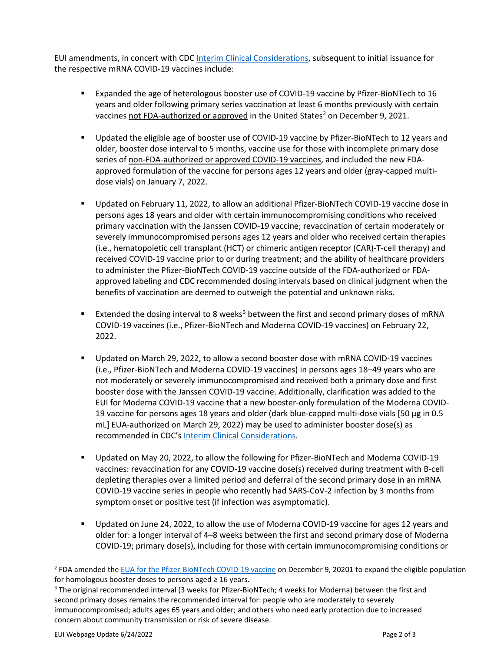EUI amendments, in concert with CD[C Interim Clinical](https://www.cdc.gov/vaccines/covid-19/clinical-considerations/covid-19-vaccines-us.html) Considerations, subsequent to initial issuance for the respective mRNA COVID-19 vaccines include:

- Expanded the age of heterologous booster use of COVID-19 vaccine by Pfizer-BioNTech to 16 years and older following primary series vaccination at least 6 months previously with certain vaccines not FDA-authorized or approved in the United States<sup>[2](#page-1-0)</sup> on December 9, 2021.
- Updated the eligible age of booster use of COVID-19 vaccine by Pfizer-BioNTech to 12 years and older, booster dose interval to 5 months, vaccine use for those with incomplete primary dose series of non-FDA-authorized or approved COVID-19 vaccines, and included the new FDAapproved formulation of the vaccine for persons ages 12 years and older (gray-capped multidose vials) on January 7, 2022.
- Updated on February 11, 2022, to allow an additional Pfizer-BioNTech COVID-19 vaccine dose in persons ages 18 years and older with certain immunocompromising conditions who received primary vaccination with the Janssen COVID-19 vaccine; revaccination of certain moderately or severely immunocompromised persons ages 12 years and older who received certain therapies (i.e., hematopoietic cell transplant (HCT) or chimeric antigen receptor (CAR)-T-cell therapy) and received COVID-19 vaccine prior to or during treatment; and the ability of healthcare providers to administer the Pfizer-BioNTech COVID-19 vaccine outside of the FDA-authorized or FDAapproved labeling and CDC recommended dosing intervals based on clinical judgment when the benefits of vaccination are deemed to outweigh the potential and unknown risks.
- Extended the dosing interval to 8 weeks<sup>[3](#page-1-1)</sup> between the first and second primary doses of mRNA COVID-19 vaccines (i.e., Pfizer-BioNTech and Moderna COVID-19 vaccines) on February 22, 2022.
- Updated on March 29, 2022, to allow a second booster dose with mRNA COVID-19 vaccines (i.e., Pfizer-BioNTech and Moderna COVID-19 vaccines) in persons ages 18–49 years who are not moderately or severely immunocompromised and received both a primary dose and first booster dose with the Janssen COVID-19 vaccine. Additionally, clarification was added to the EUI for Moderna COVID-19 vaccine that a new booster-only formulation of the Moderna COVID-19 vaccine for persons ages 18 years and older (dark blue-capped multi-dose vials [50 μg in 0.5 mL] EUA-authorized on March 29, 2022) may be used to administer booster dose(s) as recommended in CDC's Interim Clinical [Considerations.](https://www.cdc.gov/vaccines/covid-19/clinical-considerations/covid-19-vaccines-us.html)
- Updated on May 20, 2022, to allow the following for Pfizer-BioNTech and Moderna COVID-19 vaccines: revaccination for any COVID-19 vaccine dose(s) received during treatment with B-cell depleting therapies over a limited period and deferral of the second primary dose in an mRNA COVID-19 vaccine series in people who recently had SARS-CoV-2 infection by 3 months from symptom onset or positive test (if infection was asymptomatic).
- Updated on June 24, 2022, to allow the use of Moderna COVID-19 vaccine for ages 12 years and older for: a longer interval of 4–8 weeks between the first and second primary dose of Moderna COVID-19; primary dose(s), including for those with certain immunocompromising conditions or

<span id="page-1-0"></span><sup>&</sup>lt;sup>2</sup> FDA amended the [EUA for the](https://www.fda.gov/emergency-preparedness-and-response/coronavirus-disease-2019-covid-19/comirnaty-and-pfizer-biontech-covid-19-vaccine) [Pfizer-BioNTech COVID-19 vaccine](https://www.fda.gov/emergency-preparedness-and-response/coronavirus-disease-2019-covid-19/comirnaty-and-pfizer-biontech-covid-19-vaccine) on December 9, 20201 to expand the eligible population for homologous booster doses to persons aged ≥ 16 years.

<span id="page-1-1"></span><sup>3</sup> The original recommended interval (3 weeks for Pfizer-BioNTech; 4 weeks for Moderna) between the first and second primary doses remains the recommended interval for: people who are moderately to severely immunocompromised; adults ages 65 years and older; and others who need early protection due to increased concern about community transmission or risk of severe disease.